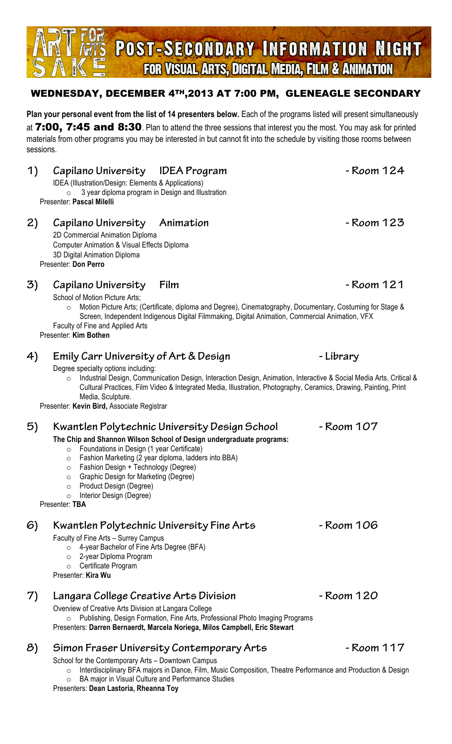## WEDNESDAY, DECEMBER 4TH,2013 AT 7:00 PM, GLENEAGLE SECONDARY

**Plan your personal event from the list of 14 presenters below.** Each of the programs listed will present simultaneously at 7:00, 7:45 and 8:30. Plan to attend the three sessions that interest you the most. You may ask for printed materials from other programs you may be interested in but cannot fit into the schedule by visiting those rooms between sessions.

## **1) Capilano University IDEA Program - Room 124**

 IDEA (Illustration/Design: Elements & Applications)  $\circ$  3 year diploma program in Design and Illustration Presenter: **Pascal Milelli**

### **2) Capilano University Animation - Room 123**

 2D Commercial Animation Diploma Computer Animation & Visual Effects Diploma 3D Digital Animation Diploma Presenter: **Don Perro**

## **3) Capilano University Film - Room 121**

School of Motion Picture Arts;

o Motion Picture Arts; (Certificate, diploma and Degree), Cinematography, Documentary, Costuming for Stage & Screen, Independent Indigenous Digital Filmmaking, Digital Animation, Commercial Animation, VFX Faculty of Fine and Applied Arts

Presenter: **Kim Bothen**

## **4) Emily Carr University of Art & Design - Library**

Degree specialty options including:

o Industrial Design, Communication Design, Interaction Design, Animation, Interactive & Social Media Arts, Critical & Cultural Practices, Film Video & Integrated Media, Illustration, Photography, Ceramics, Drawing, Painting, Print Media, Sculpture.

Presenter: **Kevin Bird,** Associate Registrar

### **5) Kwantlen Polytechnic University Design School - Room 107**

#### **The Chip and Shannon Wilson School of Design undergraduate programs:**

- o Foundations in Design (1 year Certificate)
- o Fashion Marketing (2 year diploma, ladders into BBA)
- o Fashion Design + Technology (Degree)
- o Graphic Design for Marketing (Degree)
- o Product Design (Degree)
- o Interior Design (Degree)

Presenter: **TBA**

# **6) Kwantlen Polytechnic University Fine Arts - Room 106**

Faculty of Fine Arts – Surrey Campus

- o 4-year Bachelor of Fine Arts Degree (BFA)
- o 2-year Diploma Program
- o Certificate Program

Presenter: **Kira Wu**

# **7) Langara College Creative Arts Division - Room 120**

Overview of Creative Arts Division at Langara College

o Publishing, Design Formation, Fine Arts, Professional Photo Imaging Programs Presenters: **Darren Bernaerdt, Marcela Noriega, Milos Campbell, Eric Stewart**

# **8) Simon Fraser University Contemporary Arts - Room 117**

School for the Contemporary Arts – Downtown Campus

o Interdisciplinary BFA majors in Dance, Film, Music Composition, Theatre Performance and Production & Design

o BA major in Visual Culture and Performance Studies

Presenters: **Dean Lastoria, Rheanna Toy**